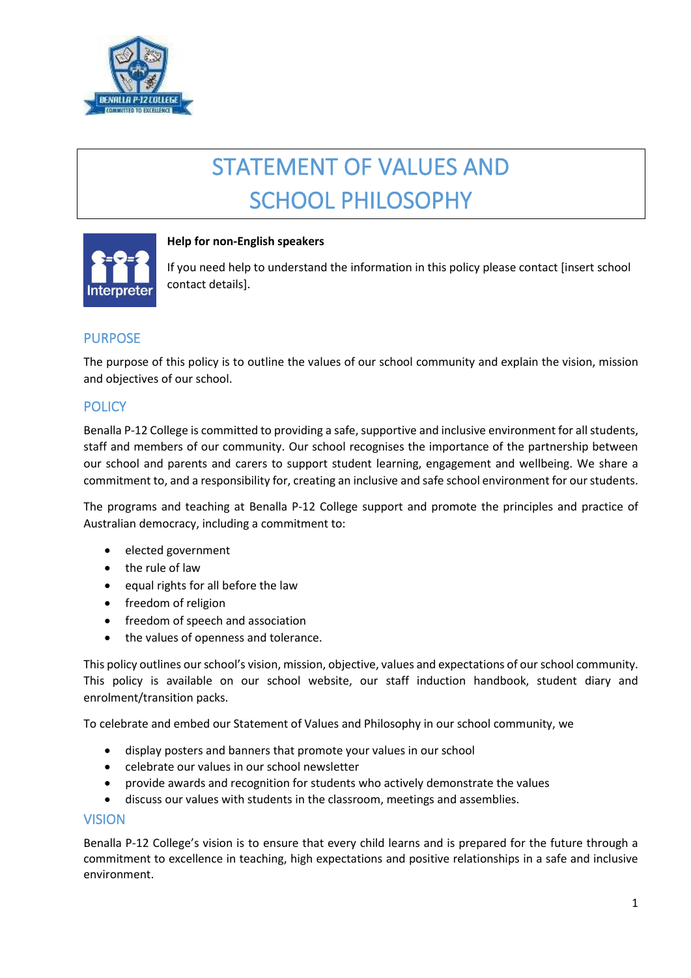

# STATEMENT OF VALUES AND SCHOOL PHILOSOPHY



## **Help for non-English speakers**

If you need help to understand the information in this policy please contact [insert school contact details].

# PURPOSE

The purpose of this policy is to outline the values of our school community and explain the vision, mission and objectives of our school.

## **POLICY**

Benalla P-12 College is committed to providing a safe, supportive and inclusive environment for all students, staff and members of our community. Our school recognises the importance of the partnership between our school and parents and carers to support student learning, engagement and wellbeing. We share a commitment to, and a responsibility for, creating an inclusive and safe school environment for our students.

The programs and teaching at Benalla P-12 College support and promote the principles and practice of Australian democracy, including a commitment to:

- elected government
- the rule of law
- equal rights for all before the law
- freedom of religion
- freedom of speech and association
- the values of openness and tolerance.

This policy outlines our school's vision, mission, objective, values and expectations of our school community. This policy is available on our school website, our staff induction handbook, student diary and enrolment/transition packs.

To celebrate and embed our Statement of Values and Philosophy in our school community, we

- display posters and banners that promote your values in our school
- celebrate our values in our school newsletter
- provide awards and recognition for students who actively demonstrate the values
- discuss our values with students in the classroom, meetings and assemblies.

#### VISION

Benalla P-12 College's vision is to ensure that every child learns and is prepared for the future through a commitment to excellence in teaching, high expectations and positive relationships in a safe and inclusive environment.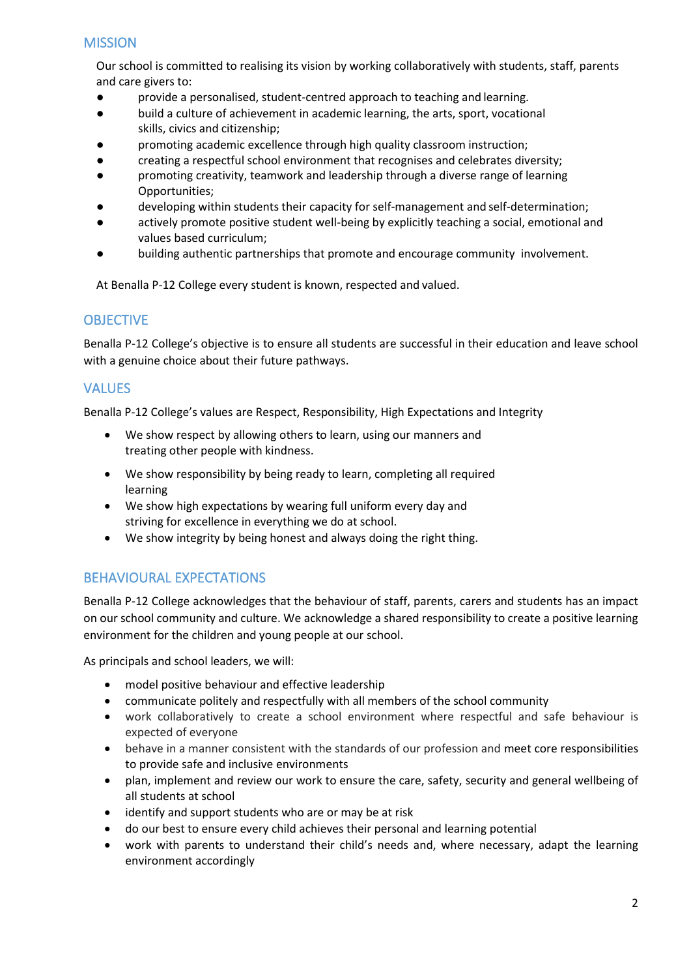# **MISSION**

Our school is committed to realising its vision by working collaboratively with students, staff, parents and care givers to:

- provide a personalised, student-centred approach to teaching and learning.
- build a culture of achievement in academic learning, the arts, sport, vocational skills, civics and citizenship;
- promoting academic excellence through high quality classroom instruction;
- creating a respectful school environment that recognises and celebrates diversity;
- promoting creativity, teamwork and leadership through a diverse range of learning Opportunities;
- developing within students their capacity for self-management and self-determination;
- actively promote positive student well-being by explicitly teaching a social, emotional and values based curriculum;
- building authentic partnerships that promote and encourage community involvement.

At Benalla P-12 College every student is known, respected and valued.

#### **OBJECTIVE**

Benalla P-12 College's objective is to ensure all students are successful in their education and leave school with a genuine choice about their future pathways.

## VALUES

Benalla P-12 College's values are Respect, Responsibility, High Expectations and Integrity

- We show respect by allowing others to learn, using our manners and treating other people with kindness.
- We show responsibility by being ready to learn, completing all required learning
- We show high expectations by wearing full uniform every day and striving for excellence in everything we do at school.
- We show integrity by being honest and always doing the right thing.

# BEHAVIOURAL EXPECTATIONS

Benalla P-12 College acknowledges that the behaviour of staff, parents, carers and students has an impact on our school community and culture. We acknowledge a shared responsibility to create a positive learning environment for the children and young people at our school.

As principals and school leaders, we will:

- model positive behaviour and effective leadership
- communicate politely and respectfully with all members of the school community
- work collaboratively to create a school environment where respectful and safe behaviour is expected of everyone
- behave in a manner consistent with the standards of our profession and meet core responsibilities to provide safe and inclusive environments
- plan, implement and review our work to ensure the care, safety, security and general wellbeing of all students at school
- identify and support students who are or may be at risk
- do our best to ensure every child achieves their personal and learning potential
- work with parents to understand their child's needs and, where necessary, adapt the learning environment accordingly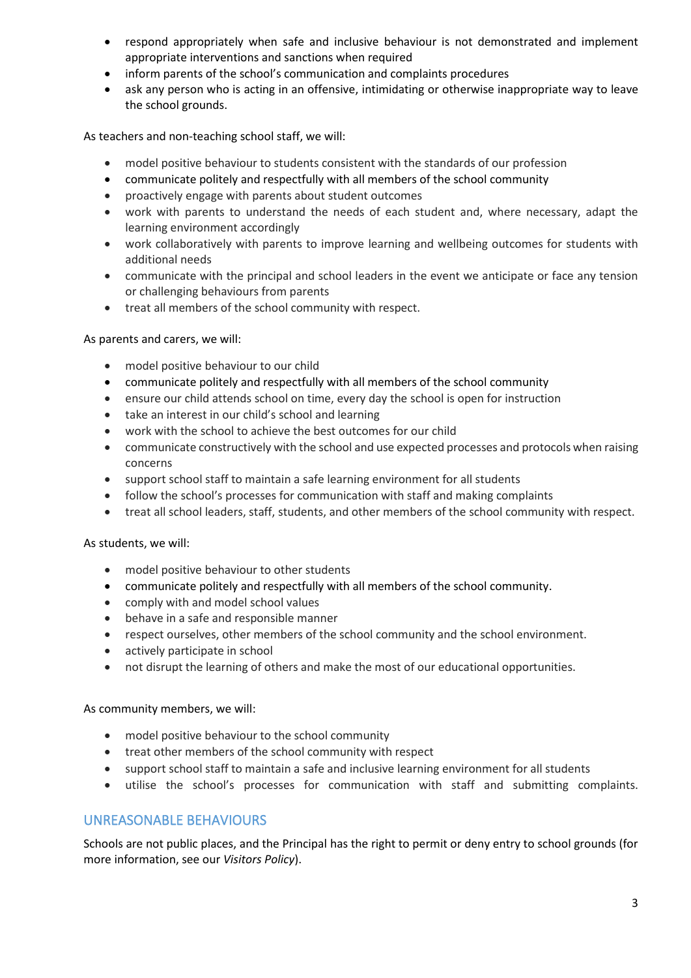- respond appropriately when safe and inclusive behaviour is not demonstrated and implement appropriate interventions and sanctions when required
- inform parents of the school's communication and complaints procedures
- ask any person who is acting in an offensive, intimidating or otherwise inappropriate way to leave the school grounds.

As teachers and non-teaching school staff, we will:

- model positive behaviour to students consistent with the standards of our profession
- communicate politely and respectfully with all members of the school community
- proactively engage with parents about student outcomes
- work with parents to understand the needs of each student and, where necessary, adapt the learning environment accordingly
- work collaboratively with parents to improve learning and wellbeing outcomes for students with additional needs
- communicate with the principal and school leaders in the event we anticipate or face any tension or challenging behaviours from parents
- treat all members of the school community with respect.

As parents and carers, we will:

- model positive behaviour to our child
- communicate politely and respectfully with all members of the school community
- ensure our child attends school on time, every day the school is open for instruction
- take an interest in our child's school and learning
- work with the school to achieve the best outcomes for our child
- communicate constructively with the school and use expected processes and protocols when raising concerns
- support school staff to maintain a safe learning environment for all students
- follow the school's processes for communication with staff and making complaints
- treat all school leaders, staff, students, and other members of the school community with respect.

As students, we will:

- model positive behaviour to other students
- communicate politely and respectfully with all members of the school community.
- comply with and model school values
- behave in a safe and responsible manner
- respect ourselves, other members of the school community and the school environment.
- actively participate in school
- not disrupt the learning of others and make the most of our educational opportunities.

As community members, we will:

- model positive behaviour to the school community
- treat other members of the school community with respect
- support school staff to maintain a safe and inclusive learning environment for all students
- utilise the school's processes for communication with staff and submitting complaints.

## UNREASONABLE BEHAVIOURS

Schools are not public places, and the Principal has the right to permit or deny entry to school grounds (for more information, see our *Visitors Policy*).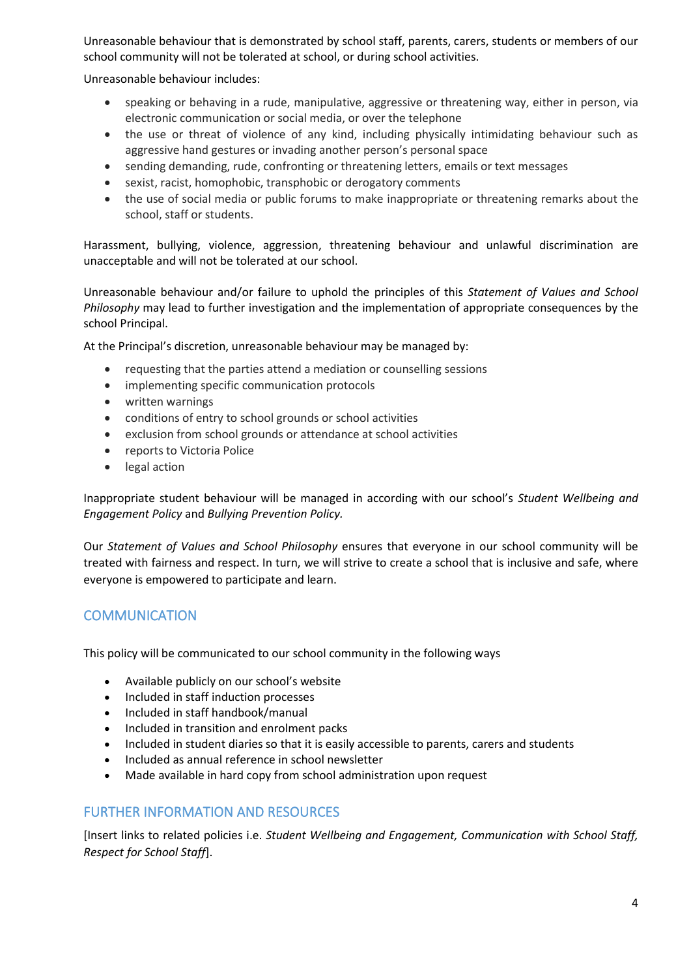Unreasonable behaviour that is demonstrated by school staff, parents, carers, students or members of our school community will not be tolerated at school, or during school activities.

Unreasonable behaviour includes:

- speaking or behaving in a rude, manipulative, aggressive or threatening way, either in person, via electronic communication or social media, or over the telephone
- the use or threat of violence of any kind, including physically intimidating behaviour such as aggressive hand gestures or invading another person's personal space
- sending demanding, rude, confronting or threatening letters, emails or text messages
- sexist, racist, homophobic, transphobic or derogatory comments
- the use of social media or public forums to make inappropriate or threatening remarks about the school, staff or students.

Harassment, bullying, violence, aggression, threatening behaviour and unlawful discrimination are unacceptable and will not be tolerated at our school.

Unreasonable behaviour and/or failure to uphold the principles of this *Statement of Values and School Philosophy* may lead to further investigation and the implementation of appropriate consequences by the school Principal.

At the Principal's discretion, unreasonable behaviour may be managed by:

- requesting that the parties attend a mediation or counselling sessions
- implementing specific communication protocols
- written warnings
- conditions of entry to school grounds or school activities
- exclusion from school grounds or attendance at school activities
- reports to Victoria Police
- legal action

Inappropriate student behaviour will be managed in according with our school's *Student Wellbeing and Engagement Policy* and *Bullying Prevention Policy.*

Our *Statement of Values and School Philosophy* ensures that everyone in our school community will be treated with fairness and respect. In turn, we will strive to create a school that is inclusive and safe, where everyone is empowered to participate and learn.

## **COMMUNICATION**

This policy will be communicated to our school community in the following ways

- Available publicly on our school's website
- Included in staff induction processes
- Included in staff handbook/manual
- Included in transition and enrolment packs
- Included in student diaries so that it is easily accessible to parents, carers and students
- Included as annual reference in school newsletter
- Made available in hard copy from school administration upon request

#### FURTHER INFORMATION AND RESOURCES

[Insert links to related policies i.e. *Student Wellbeing and Engagement, Communication with School Staff, Respect for School Staff*].